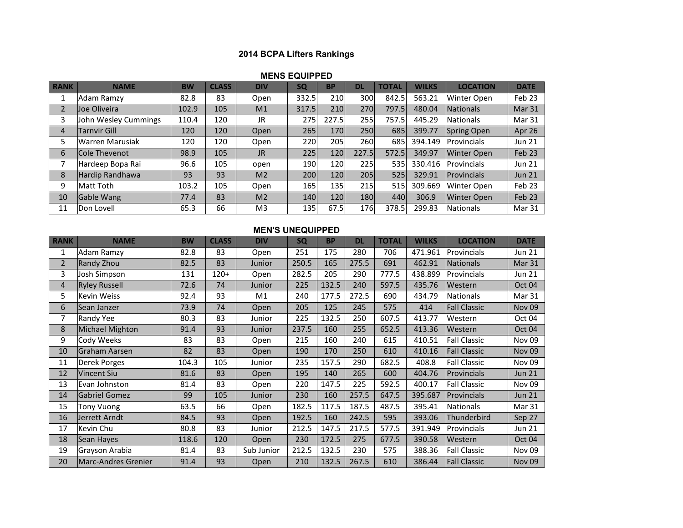## **2014 BCPA Lifters Rankings**

| <b>MENS EQUIPPED</b> |  |  |  |
|----------------------|--|--|--|
|----------------------|--|--|--|

| <b>RANK</b>    | <b>NAME</b>          | <b>BW</b> | <b>CLASS</b> | <b>DIV</b>     | <b>SQ</b> | <b>BP</b> | <b>DL</b> | <b>TOTAL</b> | <b>WILKS</b> | <b>LOCATION</b>    | <b>DATE</b>       |
|----------------|----------------------|-----------|--------------|----------------|-----------|-----------|-----------|--------------|--------------|--------------------|-------------------|
| 1              | Adam Ramzy           | 82.8      | 83           | Open           | 332.5     | 210       | 300       | 842.5        | 563.21       | Winter Open        | Feb <sub>23</sub> |
| $\overline{2}$ | Joe Oliveira         | 102.9     | 105          | M <sub>1</sub> | 317.5     | 210       | 270       | 797.5        | 480.04       | Nationals          | Mar 31            |
| 3              | John Wesley Cummings | 110.4     | 120          | JR.            | 275       | 227.5     | 255       | 757.5        | 445.29       | Nationals          | Mar 31            |
| $\overline{4}$ | Tarnvir Gill         | 120       | 120          | Open           | 265       | 170       | 250       | 685          | 399.77       | Spring Open        | Apr 26            |
| 5              | Warren Marusiak      | 120       | 120          | Open           | 220       | 205       | 260       | 685          | 394.149      | Provincials        | <b>Jun 21</b>     |
| 6              | Cole Thevenot        | 98.9      | 105          | JR.            | 225       | 120       | 227.5     | 572.5        | 349.97       | Winter Open        | Feb 23            |
|                | Hardeep Bopa Rai     | 96.6      | 105          | open           | 190       | 120       | 225       | 535          | 330.416      | Provincials        | <b>Jun 21</b>     |
| 8              | Hardip Randhawa      | 93        | 93           | M <sub>2</sub> | 200       | 120       | 205       | 525          | 329.91       | Provincials        | <b>Jun 21</b>     |
| 9              | Matt Toth            | 103.2     | 105          | Open           | 165       | 135       | 215       | 515          | 309.669      | <b>Winter Open</b> | Feb 23            |
| 10             | Gable Wang           | 77.4      | 83           | M <sub>2</sub> | 140       | 120       | 180       | 440          | 306.9        | Winter Open        | Feb 23            |
| 11             | Don Lovell           | 65.3      | 66           | M <sub>3</sub> | 135       | 67.5      | 176       | 378.5        | 299.83       | Nationals          | Mar 31            |

|  | <b>MEN'S UNEQUIPPED</b> |
|--|-------------------------|
|--|-------------------------|

| <b>RANK</b>    | <b>NAME</b>                | <b>BW</b> | <b>CLASS</b> | <b>DIV</b> | <b>SQ</b> | <b>BP</b> | <b>DL</b> | <b>TOTAL</b> | <b>WILKS</b> | <b>LOCATION</b>     | <b>DATE</b>   |
|----------------|----------------------------|-----------|--------------|------------|-----------|-----------|-----------|--------------|--------------|---------------------|---------------|
| 1              | Adam Ramzy                 | 82.8      | 83           | Open       | 251       | 175       | 280       | 706          | 471.961      | Provincials         | <b>Jun 21</b> |
| $\overline{2}$ | Randy Zhou                 | 82.5      | 83           | Junior     | 250.5     | 165       | 275.5     | 691          | 462.91       | <b>Nationals</b>    | Mar 31        |
| 3              | Josh Simpson               | 131       | $120+$       | Open       | 282.5     | 205       | 290       | 777.5        | 438.899      | Provincials         | <b>Jun 21</b> |
| $\overline{4}$ | <b>Ryley Russell</b>       | 72.6      | 74           | Junior     | 225       | 132.5     | 240       | 597.5        | 435.76       | Western             | Oct 04        |
| 5              | Kevin Weiss                | 92.4      | 93           | M1         | 240       | 177.5     | 272.5     | 690          | 434.79       | Nationals           | Mar 31        |
| 6              | Sean Janzer                | 73.9      | 74           | Open       | 205       | 125       | 245       | 575          | 414          | <b>Fall Classic</b> | <b>Nov 09</b> |
| 7              | Randy Yee                  | 80.3      | 83           | Junior     | 225       | 132.5     | 250       | 607.5        | 413.77       | Western             | Oct 04        |
| 8              | Michael Mighton            | 91.4      | 93           | Junior     | 237.5     | 160       | 255       | 652.5        | 413.36       | Western             | Oct 04        |
| 9              | Cody Weeks                 | 83        | 83           | Open       | 215       | 160       | 240       | 615          | 410.51       | Fall Classic        | Nov 09        |
| 10             | Graham Aarsen              | 82        | 83           | Open       | 190       | 170       | 250       | 610          | 410.16       | <b>Fall Classic</b> | <b>Nov 09</b> |
| 11             | Derek Porges               | 104.3     | 105          | Junior     | 235       | 157.5     | 290       | 682.5        | 408.8        | <b>Fall Classic</b> | Nov 09        |
| 12             | Vincent Siu                | 81.6      | 83           | Open       | 195       | 140       | 265       | 600          | 404.76       | Provincials         | <b>Jun 21</b> |
| 13             | Evan Johnston              | 81.4      | 83           | Open       | 220       | 147.5     | 225       | 592.5        | 400.17       | <b>Fall Classic</b> | <b>Nov 09</b> |
| 14             | Gabriel Gomez              | 99        | 105          | Junior     | 230       | 160       | 257.5     | 647.5        | 395.687      | Provincials         | <b>Jun 21</b> |
| 15             | Tony Vuong                 | 63.5      | 66           | Open       | 182.5     | 117.5     | 187.5     | 487.5        | 395.41       | Nationals           | Mar 31        |
| 16             | Jerrett Arndt              | 84.5      | 93           | Open       | 192.5     | 160       | 242.5     | 595          | 393.06       | Thunderbird         | Sep 27        |
| 17             | Kevin Chu                  | 80.8      | 83           | Junior     | 212.5     | 147.5     | 217.5     | 577.5        | 391.949      | Provincials         | Jun 21        |
| 18             | Sean Hayes                 | 118.6     | 120          | Open       | 230       | 172.5     | 275       | 677.5        | 390.58       | Western             | Oct 04        |
| 19             | Grayson Arabia             | 81.4      | 83           | Sub Junior | 212.5     | 132.5     | 230       | 575          | 388.36       | Fall Classic        | Nov 09        |
| 20             | <b>Marc-Andres Grenier</b> | 91.4      | 93           | Open       | 210       | 132.5     | 267.5     | 610          | 386.44       | <b>Fall Classic</b> | <b>Nov 09</b> |